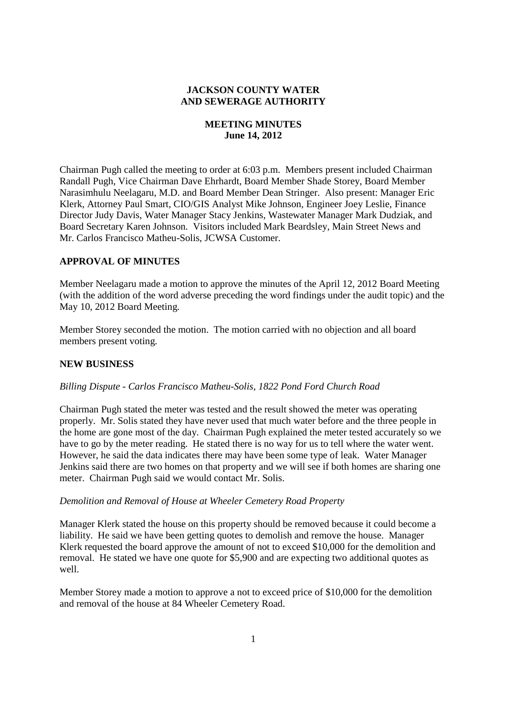# **JACKSON COUNTY WATER AND SEWERAGE AUTHORITY**

# **MEETING MINUTES June 14, 2012**

Chairman Pugh called the meeting to order at 6:03 p.m. Members present included Chairman Randall Pugh, Vice Chairman Dave Ehrhardt, Board Member Shade Storey, Board Member Narasimhulu Neelagaru, M.D. and Board Member Dean Stringer. Also present: Manager Eric Klerk, Attorney Paul Smart, CIO/GIS Analyst Mike Johnson, Engineer Joey Leslie, Finance Director Judy Davis, Water Manager Stacy Jenkins, Wastewater Manager Mark Dudziak, and Board Secretary Karen Johnson. Visitors included Mark Beardsley, Main Street News and Mr. Carlos Francisco Matheu*-*Solis, JCWSA Customer.

# **APPROVAL OF MINUTES**

Member Neelagaru made a motion to approve the minutes of the April 12, 2012 Board Meeting (with the addition of the word adverse preceding the word findings under the audit topic) and the May 10, 2012 Board Meeting.

Member Storey seconded the motion. The motion carried with no objection and all board members present voting.

## **NEW BUSINESS**

## *Billing Dispute - Carlos Francisco Matheu-Solis, 1822 Pond Ford Church Road*

Chairman Pugh stated the meter was tested and the result showed the meter was operating properly. Mr. Solis stated they have never used that much water before and the three people in the home are gone most of the day. Chairman Pugh explained the meter tested accurately so we have to go by the meter reading. He stated there is no way for us to tell where the water went. However, he said the data indicates there may have been some type of leak. Water Manager Jenkins said there are two homes on that property and we will see if both homes are sharing one meter. Chairman Pugh said we would contact Mr. Solis.

#### *Demolition and Removal of House at Wheeler Cemetery Road Property*

Manager Klerk stated the house on this property should be removed because it could become a liability. He said we have been getting quotes to demolish and remove the house. Manager Klerk requested the board approve the amount of not to exceed \$10,000 for the demolition and removal. He stated we have one quote for \$5,900 and are expecting two additional quotes as well.

Member Storey made a motion to approve a not to exceed price of \$10,000 for the demolition and removal of the house at 84 Wheeler Cemetery Road.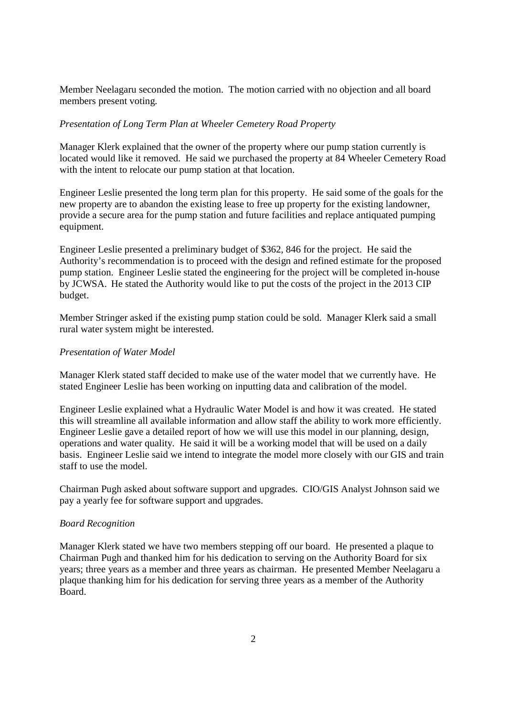Member Neelagaru seconded the motion. The motion carried with no objection and all board members present voting.

### *Presentation of Long Term Plan at Wheeler Cemetery Road Property*

Manager Klerk explained that the owner of the property where our pump station currently is located would like it removed. He said we purchased the property at 84 Wheeler Cemetery Road with the intent to relocate our pump station at that location.

Engineer Leslie presented the long term plan for this property. He said some of the goals for the new property are to abandon the existing lease to free up property for the existing landowner, provide a secure area for the pump station and future facilities and replace antiquated pumping equipment.

Engineer Leslie presented a preliminary budget of \$362, 846 for the project. He said the Authority's recommendation is to proceed with the design and refined estimate for the proposed pump station. Engineer Leslie stated the engineering for the project will be completed in-house by JCWSA. He stated the Authority would like to put the costs of the project in the 2013 CIP budget.

Member Stringer asked if the existing pump station could be sold. Manager Klerk said a small rural water system might be interested.

### *Presentation of Water Model*

Manager Klerk stated staff decided to make use of the water model that we currently have. He stated Engineer Leslie has been working on inputting data and calibration of the model.

Engineer Leslie explained what a Hydraulic Water Model is and how it was created. He stated this will streamline all available information and allow staff the ability to work more efficiently. Engineer Leslie gave a detailed report of how we will use this model in our planning, design, operations and water quality. He said it will be a working model that will be used on a daily basis. Engineer Leslie said we intend to integrate the model more closely with our GIS and train staff to use the model.

Chairman Pugh asked about software support and upgrades. CIO/GIS Analyst Johnson said we pay a yearly fee for software support and upgrades.

### *Board Recognition*

Manager Klerk stated we have two members stepping off our board. He presented a plaque to Chairman Pugh and thanked him for his dedication to serving on the Authority Board for six years; three years as a member and three years as chairman. He presented Member Neelagaru a plaque thanking him for his dedication for serving three years as a member of the Authority Board.